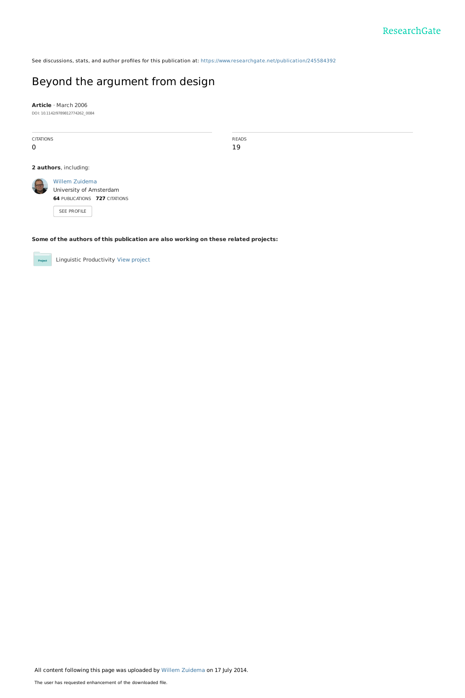See discussions, stats, and author profiles for this publication at: [https://www.researchgate.net/publication/245584392](https://www.researchgate.net/publication/245584392_Beyond_the_argument_from_design?enrichId=rgreq-c43ae5b1efedcc904ec26b27953c180a-XXX&enrichSource=Y292ZXJQYWdlOzI0NTU4NDM5MjtBUzoxMTk5MjU4MDkwOTQ2NTZAMTQwNTYwMzk0OTA5Mg%3D%3D&el=1_x_2&_esc=publicationCoverPdf)

# Beyond the [argument](https://www.researchgate.net/publication/245584392_Beyond_the_argument_from_design?enrichId=rgreq-c43ae5b1efedcc904ec26b27953c180a-XXX&enrichSource=Y292ZXJQYWdlOzI0NTU4NDM5MjtBUzoxMTk5MjU4MDkwOTQ2NTZAMTQwNTYwMzk0OTA5Mg%3D%3D&el=1_x_3&_esc=publicationCoverPdf) from design

**Article** · March 2006

DOI: 10.1142/9789812774262\_0084

CITATIONS 0

READS 19

## **2 authors**, including:



SEE [PROFILE](https://www.researchgate.net/profile/Willem_Zuidema?enrichId=rgreq-c43ae5b1efedcc904ec26b27953c180a-XXX&enrichSource=Y292ZXJQYWdlOzI0NTU4NDM5MjtBUzoxMTk5MjU4MDkwOTQ2NTZAMTQwNTYwMzk0OTA5Mg%3D%3D&el=1_x_7&_esc=publicationCoverPdf)

## **Some of the authors of this publication are also working on these related projects:**

Linguistic Productivity View [project](https://www.researchgate.net/project/Linguistic-Productivity?enrichId=rgreq-c43ae5b1efedcc904ec26b27953c180a-XXX&enrichSource=Y292ZXJQYWdlOzI0NTU4NDM5MjtBUzoxMTk5MjU4MDkwOTQ2NTZAMTQwNTYwMzk0OTA5Mg%3D%3D&el=1_x_9&_esc=publicationCoverPdf) Project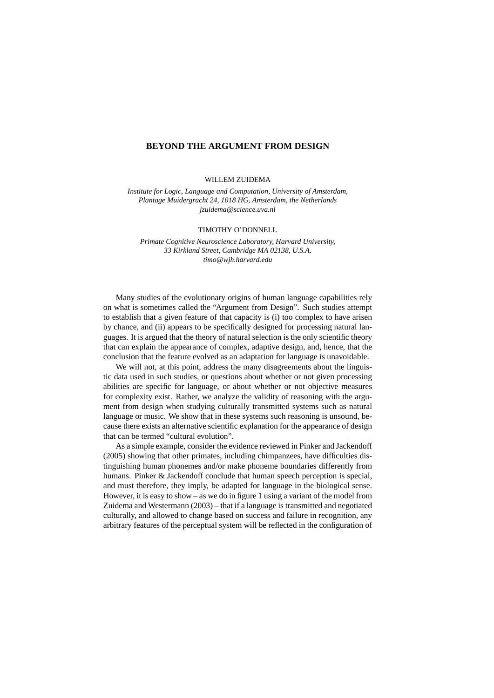#### **BEYOND THE ARGUMENT FROM DESIGN**

WILLEM ZUIDEMA

*Institute for Logic, Language and Computation, University of Amsterdam, Plantage Muidergracht 24, 1018 HG, Amsterdam, the Netherlands jzuidema@science.uva.nl*

#### TIMOTHY O'DONNELL

*Primate Cognitive Neuroscience Laboratory, Harvard University, 33 Kirkland Street, Cambridge MA 02138, U.S.A. timo@wjh.harvard.edu*

Many studies of the evolutionary origins of human language capabilities rely on what is sometimes called the "Argument from Design". Such studies attempt to establish that a given feature of that capacity is (i) too complex to have arisen by chance, and (ii) appears to be specifically designed for processing natural languages. It is argued that the theory of natural selection is the only scientific theory that can explain the appearance of complex, adaptive design, and, hence, that the conclusion that the feature evolved as an adaptation for language is unavoidable.

We will not, at this point, address the many disagreements about the linguistic data used in such studies, or questions about whether or not given processing abilities are specific for language, or about whether or not objective measures for complexity exist. Rather, we analyze the validity of reasoning with the argument from design when studying culturally transmitted systems such as natural language or music. We show that in these systems such reasoning is unsound, because there exists an alternative scientific explanation for the appearance of design that can be termed "cultural evolution".

As a simple example, consider the evidence reviewed in Pinker and Jackendoff (2005) showing that other primates, including chimpanzees, have difficulties distinguishing human phonemes and/or make phoneme boundaries differently from humans. Pinker & Jackendoff conclude that human speech perception is special, and must therefore, they imply, be adapted for language in the biological sense. However, it is easy to show – as we do in figure 1 using a variant of the model from Zuidema and Westermann (2003) – that if a language is transmitted and negotiated culturally, and allowed to change based on success and failure in recognition, any arbitrary features of the perceptual system will be reflected in the configuration of